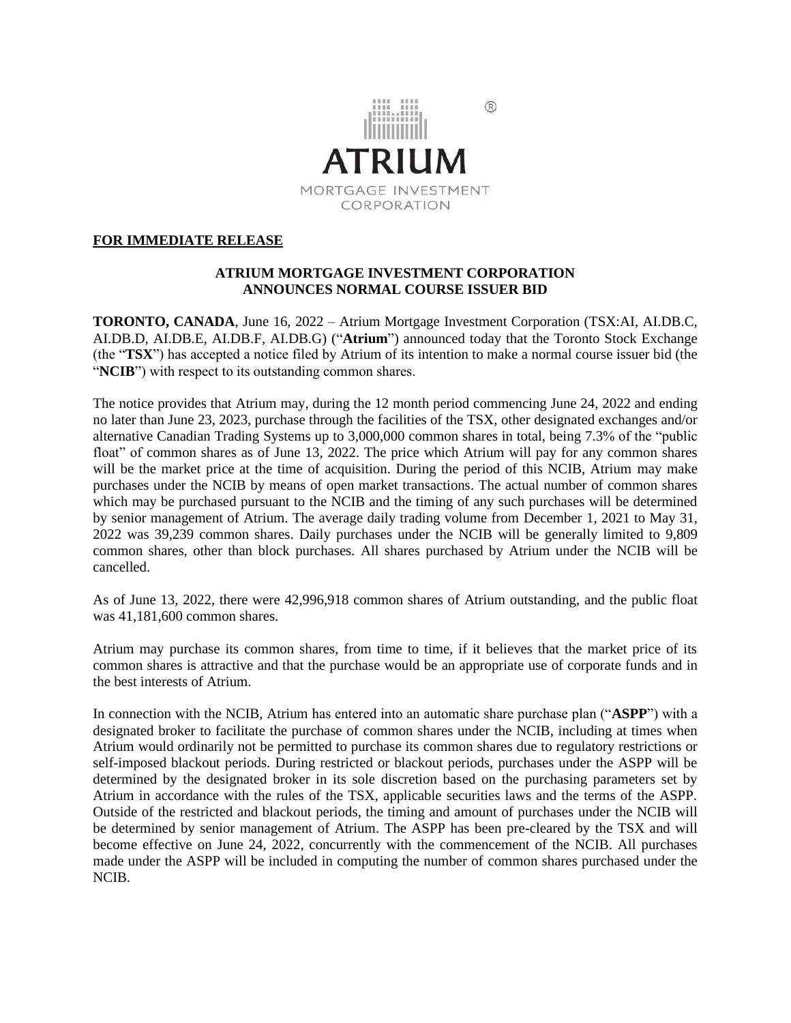

# **FOR IMMEDIATE RELEASE**

# **ATRIUM MORTGAGE INVESTMENT CORPORATION ANNOUNCES NORMAL COURSE ISSUER BID**

**TORONTO, CANADA**, June 16, 2022 – Atrium Mortgage Investment Corporation (TSX:AI, AI.DB.C, AI.DB.D, AI.DB.E, AI.DB.F, AI.DB.G) ("**Atrium**") announced today that the Toronto Stock Exchange (the "**TSX**") has accepted a notice filed by Atrium of its intention to make a normal course issuer bid (the "**NCIB**") with respect to its outstanding common shares.

The notice provides that Atrium may, during the 12 month period commencing June 24, 2022 and ending no later than June 23, 2023, purchase through the facilities of the TSX, other designated exchanges and/or alternative Canadian Trading Systems up to 3,000,000 common shares in total, being 7.3% of the "public float" of common shares as of June 13, 2022. The price which Atrium will pay for any common shares will be the market price at the time of acquisition. During the period of this NCIB, Atrium may make purchases under the NCIB by means of open market transactions. The actual number of common shares which may be purchased pursuant to the NCIB and the timing of any such purchases will be determined by senior management of Atrium. The average daily trading volume from December 1, 2021 to May 31, 2022 was 39,239 common shares. Daily purchases under the NCIB will be generally limited to 9,809 common shares, other than block purchases. All shares purchased by Atrium under the NCIB will be cancelled.

As of June 13, 2022, there were 42,996,918 common shares of Atrium outstanding, and the public float was 41,181,600 common shares.

Atrium may purchase its common shares, from time to time, if it believes that the market price of its common shares is attractive and that the purchase would be an appropriate use of corporate funds and in the best interests of Atrium.

In connection with the NCIB, Atrium has entered into an automatic share purchase plan ("**ASPP**") with a designated broker to facilitate the purchase of common shares under the NCIB, including at times when Atrium would ordinarily not be permitted to purchase its common shares due to regulatory restrictions or self-imposed blackout periods. During restricted or blackout periods, purchases under the ASPP will be determined by the designated broker in its sole discretion based on the purchasing parameters set by Atrium in accordance with the rules of the TSX, applicable securities laws and the terms of the ASPP. Outside of the restricted and blackout periods, the timing and amount of purchases under the NCIB will be determined by senior management of Atrium. The ASPP has been pre-cleared by the TSX and will become effective on June 24, 2022, concurrently with the commencement of the NCIB. All purchases made under the ASPP will be included in computing the number of common shares purchased under the NCIB.